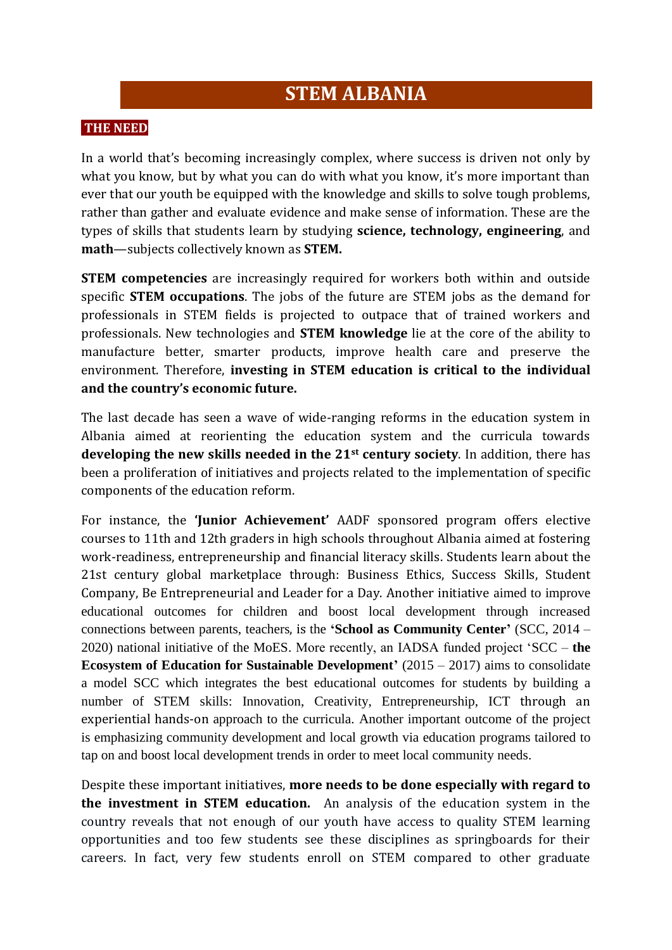# **STEM ALBANIA**

#### **THE NEED**

In a world that's becoming increasingly complex, where success is driven not only by what you know, but by what you can do with what you know, it's more important than ever that our youth be equipped with the knowledge and skills to solve tough problems, rather than gather and evaluate evidence and make sense of information. These are the types of skills that students learn by studying **science, technology, engineering**, and **math**—subjects collectively known as **STEM.**

**STEM competencies** are increasingly required for workers both within and outside specific **STEM occupations**. The jobs of the future are STEM jobs as the demand for professionals in STEM fields is projected to outpace that of trained workers and professionals. New technologies and **STEM knowledge** lie at the core of the ability to manufacture better, smarter products, improve health care and preserve the environment. Therefore, **investing in STEM education is critical to the individual and the country's economic future.**

The last decade has seen a wave of wide-ranging reforms in the education system in Albania aimed at reorienting the education system and the curricula towards **developing the new skills needed in the 21st century society**. In addition, there has been a proliferation of initiatives and projects related to the implementation of specific components of the education reform.

For instance, the **'Junior Achievement'** AADF sponsored program offers elective courses to 11th and 12th graders in high schools throughout Albania aimed at fostering work-readiness, entrepreneurship and financial literacy skills. Students learn about the 21st century global marketplace through: Business Ethics, Success Skills, Student Company, Be Entrepreneurial and Leader for a Day. Another initiative aimed to improve educational outcomes for children and boost local development through increased connections between parents, teachers, is the **'School as Community Center'** (SCC, 2014 – 2020) national initiative of the MoES. More recently, an IADSA funded project 'SCC – **the Ecosystem of Education for Sustainable Development'** (2015 – 2017) aims to consolidate a model SCC which integrates the best educational outcomes for students by building a number of STEM skills: Innovation, Creativity, Entrepreneurship, ICT through an experiential hands-on approach to the curricula. Another important outcome of the project is emphasizing community development and local growth via education programs tailored to tap on and boost local development trends in order to meet local community needs.

Despite these important initiatives, **more needs to be done especially with regard to the investment in STEM education.** An analysis of the education system in the country reveals that not enough of our youth have access to quality STEM learning opportunities and too few students see these disciplines as springboards for their careers. In fact, very few students enroll on STEM compared to other graduate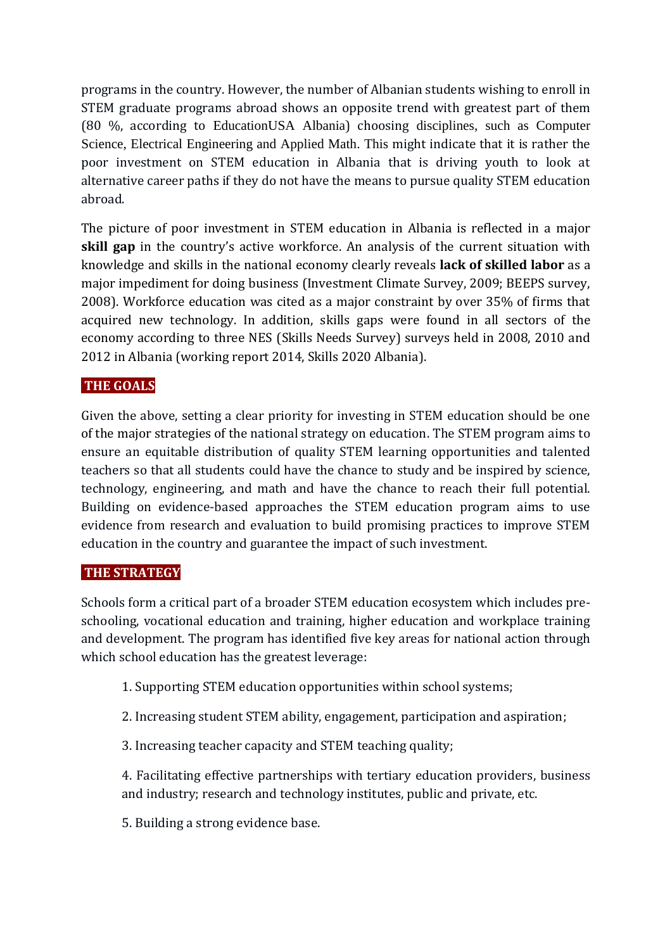programs in the country. However, the number of Albanian students wishing to enroll in STEM graduate programs abroad shows an opposite trend with greatest part of them (80 %, according to EducationUSA Albania) choosing disciplines, such as Computer Science, Electrical Engineering and Applied Math. This might indicate that it is rather the poor investment on STEM education in Albania that is driving youth to look at alternative career paths if they do not have the means to pursue quality STEM education abroad.

The picture of poor investment in STEM education in Albania is reflected in a major **skill gap** in the country's active workforce. An analysis of the current situation with knowledge and skills in the national economy clearly reveals **lack of skilled labor** as a major impediment for doing business (Investment Climate Survey, 2009; BEEPS survey, 2008). Workforce education was cited as a major constraint by over 35% of firms that acquired new technology. In addition, skills gaps were found in all sectors of the economy according to three NES (Skills Needs Survey) surveys held in 2008, 2010 and 2012 in Albania (working report 2014, Skills 2020 Albania).

### **THE GOALS**

Given the above, setting a clear priority for investing in STEM education should be one of the major strategies of the national strategy on education. The STEM program aims to ensure an equitable distribution of quality STEM learning opportunities and talented teachers so that all students could have the chance to study and be inspired by science, technology, engineering, and math and have the chance to reach their full potential. Building on evidence-based approaches the STEM education program aims to use evidence from research and evaluation to build promising practices to improve STEM education in the country and guarantee the impact of such investment.

### **THE STRATEGY**

Schools form a critical part of a broader STEM education ecosystem which includes preschooling, vocational education and training, higher education and workplace training and development. The program has identified five key areas for national action through which school education has the greatest leverage:

- 1. Supporting STEM education opportunities within school systems;
- 2. Increasing student STEM ability, engagement, participation and aspiration;
- 3. Increasing teacher capacity and STEM teaching quality;

4. Facilitating effective partnerships with tertiary education providers, business and industry; research and technology institutes, public and private, etc.

5. Building a strong evidence base.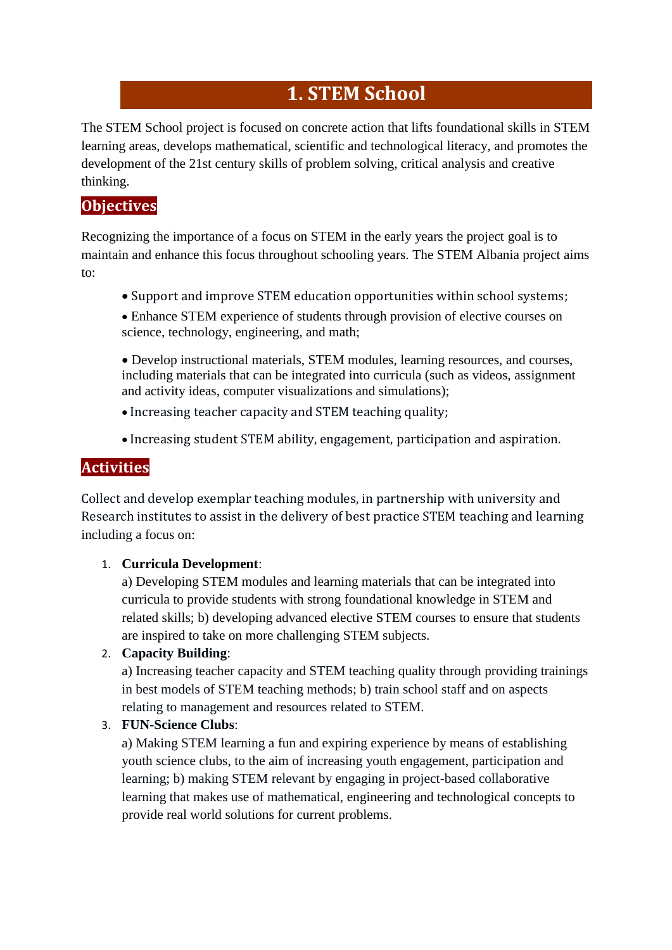# **1. STEM School**

The STEM School project is focused on concrete action that lifts foundational skills in STEM learning areas, develops mathematical, scientific and technological literacy, and promotes the development of the 21st century skills of problem solving, critical analysis and creative thinking.

## **Objectives**

Recognizing the importance of a focus on STEM in the early years the project goal is to maintain and enhance this focus throughout schooling years. The STEM Albania project aims to:

Support and improve STEM education opportunities within school systems;

 Develop instructional materials, STEM modules, learning resources, and courses, including materials that can be integrated into curricula (such as videos, assignment and activity ideas, computer visualizations and simulations);

- Increasing teacher capacity and STEM teaching quality;
- Increasing student STEM ability, engagement, participation and aspiration.

## **Activities**

Collect and develop exemplar teaching modules, in partnership with university and Research institutes to assist in the delivery of best practice STEM teaching and learning including a focus on:

### 1. **Curricula Development**:

a) Developing STEM modules and learning materials that can be integrated into curricula to provide students with strong foundational knowledge in STEM and related skills; b) developing advanced elective STEM courses to ensure that students are inspired to take on more challenging STEM subjects.

### 2. **Capacity Building**:

a) Increasing teacher capacity and STEM teaching quality through providing trainings in best models of STEM teaching methods; b) train school staff and on aspects relating to management and resources related to STEM.

### 3. **FUN-Science Clubs**:

a) Making STEM learning a fun and expiring experience by means of establishing youth science clubs, to the aim of increasing youth engagement, participation and learning; b) making STEM relevant by engaging in project-based collaborative learning that makes use of mathematical, engineering and technological concepts to provide real world solutions for current problems.

Enhance STEM experience of students through provision of elective courses on science, technology, engineering, and math;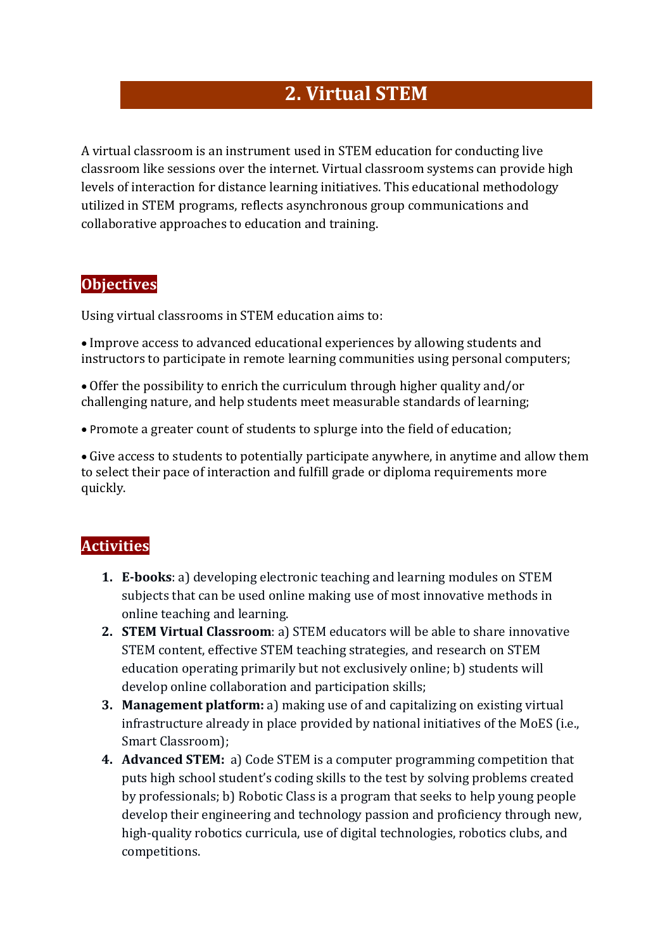# **2. Virtual STEM**

A virtual classroom is an instrument used in STEM education for conducting live classroom like sessions over the internet. Virtual classroom systems can provide high levels of interaction for distance learning initiatives. This educational methodology utilized in STEM programs, reflects asynchronous group communications and collaborative approaches to education and training.

### **Objectives**

Using virtual classrooms in STEM education aims to:

 Improve access to advanced educational experiences by allowing students and instructors to participate in remote learning communities using personal computers;

 Offer the possibility to enrich the curriculum through higher quality and/or challenging nature, and help students meet measurable standards of learning;

Promote a greater count of students to splurge into the field of education;

 Give access to students to potentially participate anywhere, in anytime and allow them to select their pace of interaction and fulfill grade or diploma requirements more quickly.

## **Activities**

- **1. E-books**: a) developing electronic teaching and learning modules on STEM subjects that can be used online making use of most innovative methods in online teaching and learning.
- **2. STEM Virtual Classroom**: a) STEM educators will be able to share innovative STEM content, effective STEM teaching strategies, and research on STEM education operating primarily but not exclusively online; b) students will develop online collaboration and participation skills;
- **3. Management platform:** a) making use of and capitalizing on existing virtual infrastructure already in place provided by national initiatives of the MoES (i.e., Smart Classroom);
- **4. Advanced STEM:** a) Code STEM is a computer programming competition that puts high school student's coding skills to the test by solving problems created by professionals; b) Robotic Class is a program that seeks to help young people develop their engineering and technology passion and proficiency through new, high-quality robotics curricula, use of digital technologies, robotics clubs, and competitions.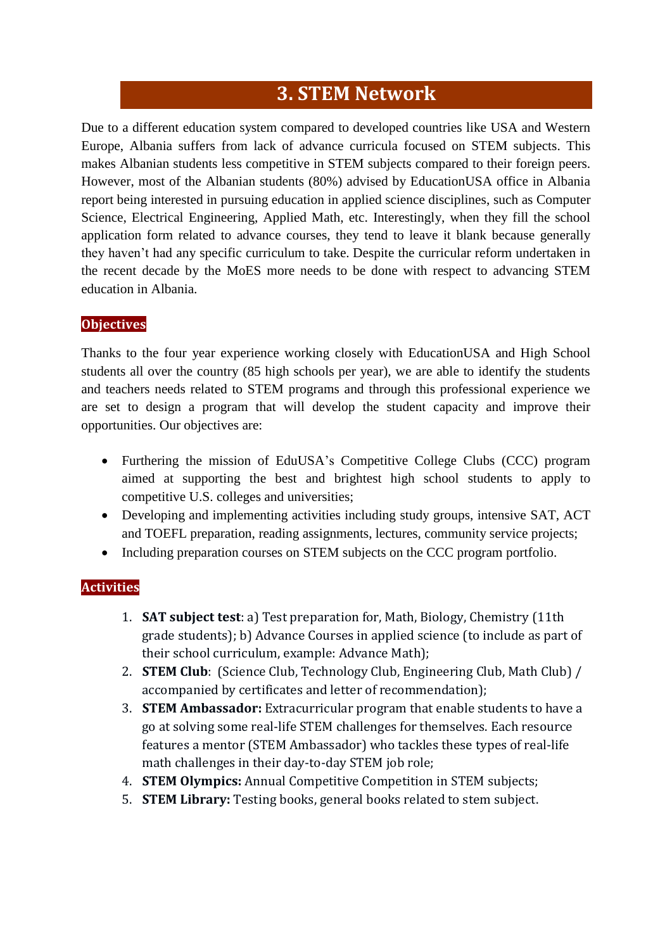## **3. STEM Network**

Due to a different education system compared to developed countries like USA and Western Europe, Albania suffers from lack of advance curricula focused on STEM subjects. This makes Albanian students less competitive in STEM subjects compared to their foreign peers. However, most of the Albanian students (80%) advised by EducationUSA office in Albania report being interested in pursuing education in applied science disciplines, such as Computer Science, Electrical Engineering, Applied Math, etc. Interestingly, when they fill the school application form related to advance courses, they tend to leave it blank because generally they haven't had any specific curriculum to take. Despite the curricular reform undertaken in the recent decade by the MoES more needs to be done with respect to advancing STEM education in Albania.

### **Objectives**

Thanks to the four year experience working closely with EducationUSA and High School students all over the country (85 high schools per year), we are able to identify the students and teachers needs related to STEM programs and through this professional experience we are set to design a program that will develop the student capacity and improve their opportunities. Our objectives are:

- Furthering the mission of EduUSA's Competitive College Clubs (CCC) program aimed at supporting the best and brightest high school students to apply to competitive U.S. colleges and universities;
- Developing and implementing activities including study groups, intensive SAT, ACT and TOEFL preparation, reading assignments, lectures, community service projects;
- Including preparation courses on STEM subjects on the CCC program portfolio.

### **Activities**

- 1. **SAT subject test**: a) Test preparation for, Math, Biology, Chemistry (11th grade students); b) Advance Courses in applied science (to include as part of their school curriculum, example: Advance Math);
- 2. **STEM Club**: (Science Club, Technology Club, Engineering Club, Math Club) / accompanied by certificates and letter of recommendation);
- 3. **STEM Ambassador:** Extracurricular program that enable students to have a go at solving some real-life STEM challenges for themselves. Each resource features a mentor (STEM Ambassador) who tackles these types of real-life math challenges in their day-to-day STEM job role;
- 4. **STEM Olympics:** Annual Competitive Competition in STEM subjects;
- 5. **STEM Library:** Testing books, general books related to stem subject.